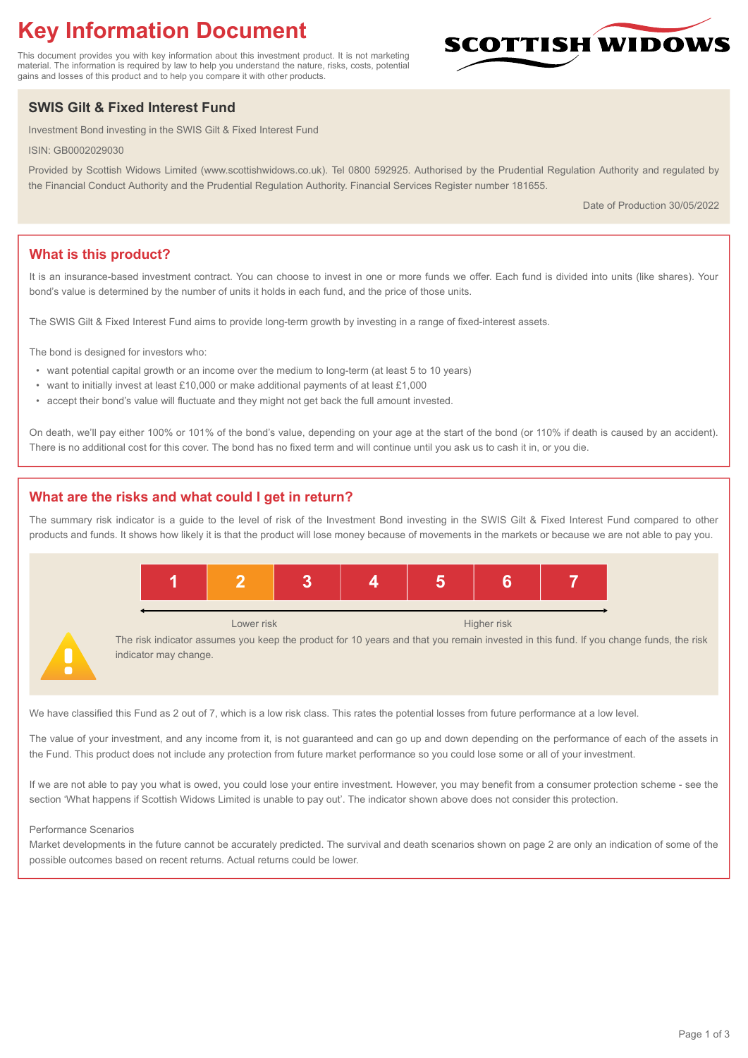# **Key Information Document**

This document provides you with key information about this investment product. It is not marketing material. The information is required by law to help you understand the nature, risks, costs, potential gains and losses of this product and to help you compare it with other products.

## **SWIS Gilt & Fixed Interest Fund**

Investment Bond investing in the SWIS Gilt & Fixed Interest Fund

ISIN: GB0002029030

Provided by Scottish Widows Limited (www.scottishwidows.co.uk). Tel 0800 592925. Authorised by the Prudential Regulation Authority and regulated by the Financial Conduct Authority and the Prudential Regulation Authority. Financial Services Register number 181655.

Date of Production 30/05/2022

**SCOTTISH WIDOW** 

## **What is this product?**

It is an insurance-based investment contract. You can choose to invest in one or more funds we offer. Each fund is divided into units (like shares). Your bond's value is determined by the number of units it holds in each fund, and the price of those units.

The SWIS Gilt & Fixed Interest Fund aims to provide long-term growth by investing in a range of fixed-interest assets.

The bond is designed for investors who:

- want potential capital growth or an income over the medium to long-term (at least 5 to 10 years)
- want to initially invest at least £10,000 or make additional payments of at least £1,000
- accept their bond's value will fluctuate and they might not get back the full amount invested.

On death, we'll pay either 100% or 101% of the bond's value, depending on your age at the start of the bond (or 110% if death is caused by an accident). There is no additional cost for this cover. The bond has no fixed term and will continue until you ask us to cash it in, or you die.

## **What are the risks and what could I get in return?**

The summary risk indicator is a guide to the level of risk of the Investment Bond investing in the SWIS Gilt & Fixed Interest Fund compared to other products and funds. It shows how likely it is that the product will lose money because of movements in the markets or because we are not able to pay you.



We have classified this Fund as 2 out of 7, which is a low risk class. This rates the potential losses from future performance at a low level.

The value of your investment, and any income from it, is not guaranteed and can go up and down depending on the performance of each of the assets in the Fund. This product does not include any protection from future market performance so you could lose some or all of your investment.

If we are not able to pay you what is owed, you could lose your entire investment. However, you may benefit from a consumer protection scheme - see the section 'What happens if Scottish Widows Limited is unable to pay out'. The indicator shown above does not consider this protection.

#### Performance Scenarios

Market developments in the future cannot be accurately predicted. The survival and death scenarios shown on page 2 are only an indication of some of the possible outcomes based on recent returns. Actual returns could be lower.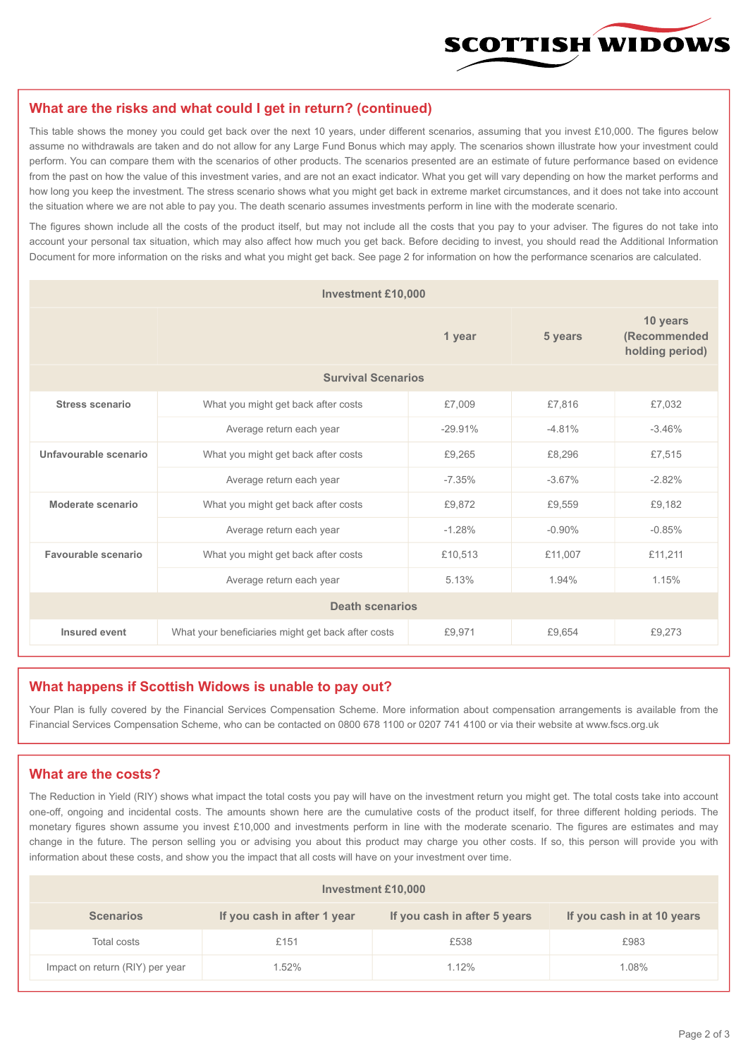

#### **What are the risks and what could I get in return? (continued)**

This table shows the money you could get back over the next 10 years, under different scenarios, assuming that you invest £10,000. The figures below assume no withdrawals are taken and do not allow for any Large Fund Bonus which may apply. The scenarios shown illustrate how your investment could perform. You can compare them with the scenarios of other products. The scenarios presented are an estimate of future performance based on evidence from the past on how the value of this investment varies, and are not an exact indicator. What you get will vary depending on how the market performs and how long you keep the investment. The stress scenario shows what you might get back in extreme market circumstances, and it does not take into account the situation where we are not able to pay you. The death scenario assumes investments perform in line with the moderate scenario.

The figures shown include all the costs of the product itself, but may not include all the costs that you pay to your adviser. The figures do not take into account your personal tax situation, which may also affect how much you get back. Before deciding to invest, you should read the Additional Information Document for more information on the risks and what you might get back. See page 2 for information on how the performance scenarios are calculated.

| <b>Investment £10,000</b> |                                                    |          |          |                                             |  |  |
|---------------------------|----------------------------------------------------|----------|----------|---------------------------------------------|--|--|
|                           |                                                    | 1 year   | 5 years  | 10 years<br>(Recommended<br>holding period) |  |  |
| <b>Survival Scenarios</b> |                                                    |          |          |                                             |  |  |
| <b>Stress scenario</b>    | £7,009<br>What you might get back after costs      |          | £7,816   | £7,032                                      |  |  |
|                           | $-29.91%$<br>Average return each year              |          | $-4.81%$ | $-3.46%$                                    |  |  |
| Unfavourable scenario     | What you might get back after costs<br>£9,265      |          | £8,296   | £7,515                                      |  |  |
|                           | Average return each year                           | $-7.35%$ | $-3.67%$ | $-2.82%$                                    |  |  |
| Moderate scenario         | What you might get back after costs                | £9,872   | £9,559   | £9,182                                      |  |  |
|                           | Average return each year                           | $-1.28%$ | $-0.90%$ | $-0.85%$                                    |  |  |
| Favourable scenario       | What you might get back after costs                | £10,513  | £11,007  | £11,211                                     |  |  |
| Average return each year  |                                                    | 5.13%    | 1.94%    | 1.15%                                       |  |  |
| <b>Death scenarios</b>    |                                                    |          |          |                                             |  |  |
| Insured event             | What your beneficiaries might get back after costs | £9,971   | £9,654   | £9,273                                      |  |  |

#### **What happens if Scottish Widows is unable to pay out?**

Your Plan is fully covered by the Financial Services Compensation Scheme. More information about compensation arrangements is available from the Financial Services Compensation Scheme, who can be contacted on 0800 678 1100 or 0207 741 4100 or via their website at www.fscs.org.uk

#### **What are the costs?**

The Reduction in Yield (RIY) shows what impact the total costs you pay will have on the investment return you might get. The total costs take into account one-off, ongoing and incidental costs. The amounts shown here are the cumulative costs of the product itself, for three different holding periods. The monetary figures shown assume you invest £10,000 and investments perform in line with the moderate scenario. The figures are estimates and may change in the future. The person selling you or advising you about this product may charge you other costs. If so, this person will provide you with information about these costs, and show you the impact that all costs will have on your investment over time.

| <b>Investment £10,000</b>       |                             |                              |                            |  |  |  |
|---------------------------------|-----------------------------|------------------------------|----------------------------|--|--|--|
| <b>Scenarios</b>                | If you cash in after 1 year | If you cash in after 5 years | If you cash in at 10 years |  |  |  |
| Total costs                     | £151                        | £538                         | £983                       |  |  |  |
| Impact on return (RIY) per year | .52%                        | 1.12%                        | 1.08%                      |  |  |  |